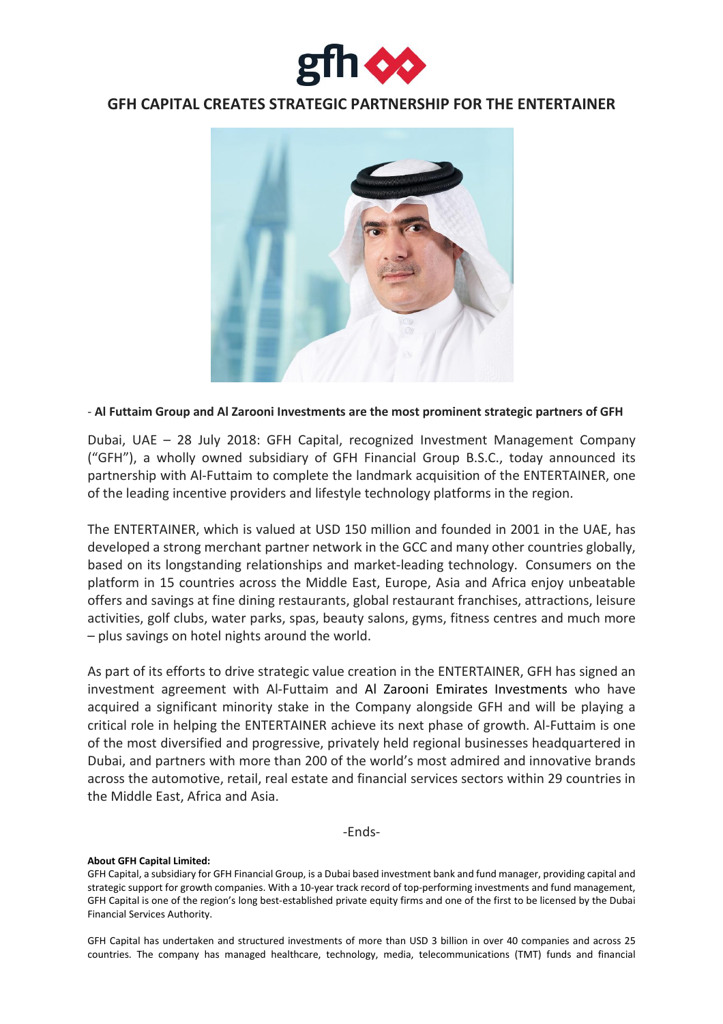

# **GFH CAPITAL CREATES STRATEGIC PARTNERSHIP FOR THE ENTERTAINER**



## - **Al Futtaim Group and Al Zarooni Investments are the most prominent strategic partners of GFH**

Dubai, UAE – 28 July 2018: GFH Capital, recognized Investment Management Company ("GFH"), a wholly owned subsidiary of GFH Financial Group B.S.C., today announced its partnership with Al-Futtaim to complete the landmark acquisition of the ENTERTAINER, one of the leading incentive providers and lifestyle technology platforms in the region.

The ENTERTAINER, which is valued at USD 150 million and founded in 2001 in the UAE, has developed a strong merchant partner network in the GCC and many other countries globally, based on its longstanding relationships and market-leading technology. Consumers on the platform in 15 countries across the Middle East, Europe, Asia and Africa enjoy unbeatable offers and savings at fine dining restaurants, global restaurant franchises, attractions, leisure activities, golf clubs, water parks, spas, beauty salons, gyms, fitness centres and much more – plus savings on hotel nights around the world.

As part of its efforts to drive strategic value creation in the ENTERTAINER, GFH has signed an investment agreement with Al-Futtaim and Al Zarooni Emirates Investments who have acquired a significant minority stake in the Company alongside GFH and will be playing a critical role in helping the ENTERTAINER achieve its next phase of growth. Al-Futtaim is one of the most diversified and progressive, privately held regional businesses headquartered in Dubai, and partners with more than 200 of the world's most admired and innovative brands across the automotive, retail, real estate and financial services sectors within 29 countries in the Middle East, Africa and Asia.

-Ends-

### **About GFH Capital Limited:**

GFH Capital has undertaken and structured investments of more than USD 3 billion in over 40 companies and across 25 countries. The company has managed healthcare, technology, media, telecommunications (TMT) funds and financial

GFH Capital, a subsidiary for GFH Financial Group, is a Dubai based investment bank and fund manager, providing capital and strategic support for growth companies. With a 10-year track record of top-performing investments and fund management, GFH Capital is one of the region's long best-established private equity firms and one of the first to be licensed by the Dubai Financial Services Authority.